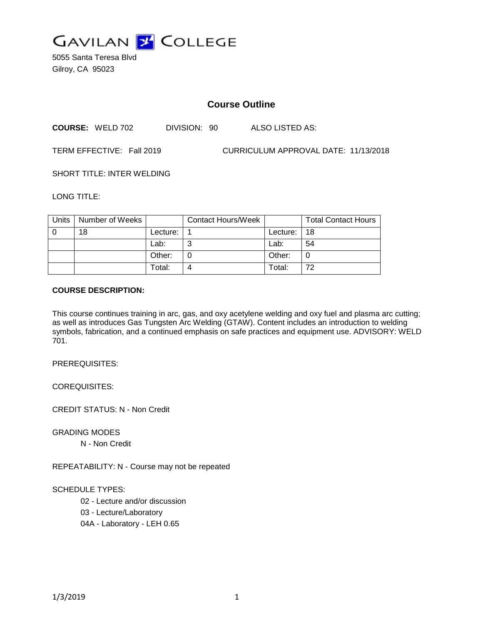

5055 Santa Teresa Blvd Gilroy, CA 95023

# **Course Outline**

**COURSE:** WELD 702 DIVISION: 90 ALSO LISTED AS:

TERM EFFECTIVE: Fall 2019 CURRICULUM APPROVAL DATE: 11/13/2018

SHORT TITLE: INTER WELDING

LONG TITLE:

| Units | Number of Weeks |          | <b>Contact Hours/Week</b> |          | <b>Total Contact Hours</b> |
|-------|-----------------|----------|---------------------------|----------|----------------------------|
|       | 18              | Lecture: |                           | Lecture: | -18                        |
|       |                 | Lab:     |                           | Lab:     | 54                         |
|       |                 | Other:   |                           | Other:   |                            |
|       |                 | Total:   |                           | Total:   | 72                         |

#### **COURSE DESCRIPTION:**

This course continues training in arc, gas, and oxy acetylene welding and oxy fuel and plasma arc cutting; as well as introduces Gas Tungsten Arc Welding (GTAW). Content includes an introduction to welding symbols, fabrication, and a continued emphasis on safe practices and equipment use. ADVISORY: WELD 701.

PREREQUISITES:

COREQUISITES:

CREDIT STATUS: N - Non Credit

GRADING MODES

N - Non Credit

REPEATABILITY: N - Course may not be repeated

## SCHEDULE TYPES:

02 - Lecture and/or discussion

- 03 Lecture/Laboratory
- 04A Laboratory LEH 0.65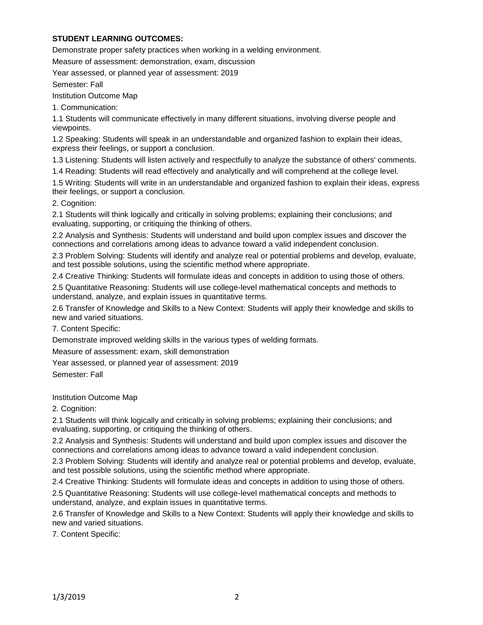## **STUDENT LEARNING OUTCOMES:**

Demonstrate proper safety practices when working in a welding environment.

Measure of assessment: demonstration, exam, discussion

Year assessed, or planned year of assessment: 2019

Semester: Fall

Institution Outcome Map

1. Communication:

1.1 Students will communicate effectively in many different situations, involving diverse people and viewpoints.

1.2 Speaking: Students will speak in an understandable and organized fashion to explain their ideas, express their feelings, or support a conclusion.

1.3 Listening: Students will listen actively and respectfully to analyze the substance of others' comments.

1.4 Reading: Students will read effectively and analytically and will comprehend at the college level.

1.5 Writing: Students will write in an understandable and organized fashion to explain their ideas, express their feelings, or support a conclusion.

2. Cognition:

2.1 Students will think logically and critically in solving problems; explaining their conclusions; and evaluating, supporting, or critiquing the thinking of others.

2.2 Analysis and Synthesis: Students will understand and build upon complex issues and discover the connections and correlations among ideas to advance toward a valid independent conclusion.

2.3 Problem Solving: Students will identify and analyze real or potential problems and develop, evaluate, and test possible solutions, using the scientific method where appropriate.

2.4 Creative Thinking: Students will formulate ideas and concepts in addition to using those of others.

2.5 Quantitative Reasoning: Students will use college-level mathematical concepts and methods to understand, analyze, and explain issues in quantitative terms.

2.6 Transfer of Knowledge and Skills to a New Context: Students will apply their knowledge and skills to new and varied situations.

7. Content Specific:

Demonstrate improved welding skills in the various types of welding formats.

Measure of assessment: exam, skill demonstration

Year assessed, or planned year of assessment: 2019

Semester: Fall

Institution Outcome Map

2. Cognition:

2.1 Students will think logically and critically in solving problems; explaining their conclusions; and evaluating, supporting, or critiquing the thinking of others.

2.2 Analysis and Synthesis: Students will understand and build upon complex issues and discover the connections and correlations among ideas to advance toward a valid independent conclusion.

2.3 Problem Solving: Students will identify and analyze real or potential problems and develop, evaluate, and test possible solutions, using the scientific method where appropriate.

2.4 Creative Thinking: Students will formulate ideas and concepts in addition to using those of others.

2.5 Quantitative Reasoning: Students will use college-level mathematical concepts and methods to understand, analyze, and explain issues in quantitative terms.

2.6 Transfer of Knowledge and Skills to a New Context: Students will apply their knowledge and skills to new and varied situations.

7. Content Specific: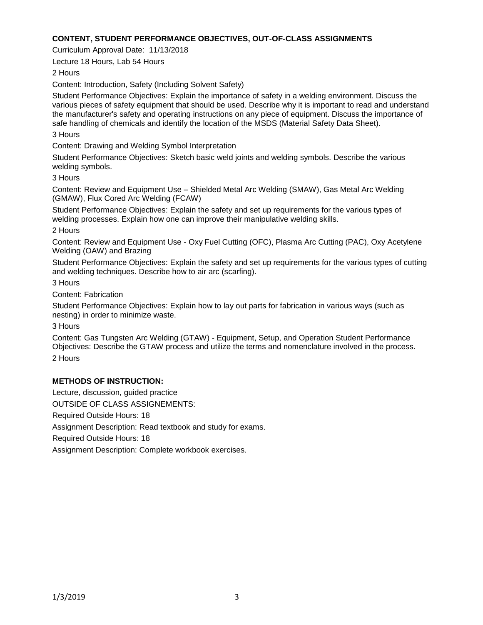## **CONTENT, STUDENT PERFORMANCE OBJECTIVES, OUT-OF-CLASS ASSIGNMENTS**

Curriculum Approval Date: 11/13/2018

Lecture 18 Hours, Lab 54 Hours

2 Hours

Content: Introduction, Safety (Including Solvent Safety)

Student Performance Objectives: Explain the importance of safety in a welding environment. Discuss the various pieces of safety equipment that should be used. Describe why it is important to read and understand the manufacturer's safety and operating instructions on any piece of equipment. Discuss the importance of safe handling of chemicals and identify the location of the MSDS (Material Safety Data Sheet).

3 Hours

Content: Drawing and Welding Symbol Interpretation

Student Performance Objectives: Sketch basic weld joints and welding symbols. Describe the various welding symbols.

3 Hours

Content: Review and Equipment Use – Shielded Metal Arc Welding (SMAW), Gas Metal Arc Welding (GMAW), Flux Cored Arc Welding (FCAW)

Student Performance Objectives: Explain the safety and set up requirements for the various types of welding processes. Explain how one can improve their manipulative welding skills.

2 Hours

Content: Review and Equipment Use - Oxy Fuel Cutting (OFC), Plasma Arc Cutting (PAC), Oxy Acetylene Welding (OAW) and Brazing

Student Performance Objectives: Explain the safety and set up requirements for the various types of cutting and welding techniques. Describe how to air arc (scarfing).

3 Hours

Content: Fabrication

Student Performance Objectives: Explain how to lay out parts for fabrication in various ways (such as nesting) in order to minimize waste.

3 Hours

Content: Gas Tungsten Arc Welding (GTAW) - Equipment, Setup, and Operation Student Performance Objectives: Describe the GTAW process and utilize the terms and nomenclature involved in the process. 2 Hours

# **METHODS OF INSTRUCTION:**

Lecture, discussion, guided practice

OUTSIDE OF CLASS ASSIGNEMENTS:

Required Outside Hours: 18

Assignment Description: Read textbook and study for exams.

Required Outside Hours: 18

Assignment Description: Complete workbook exercises.